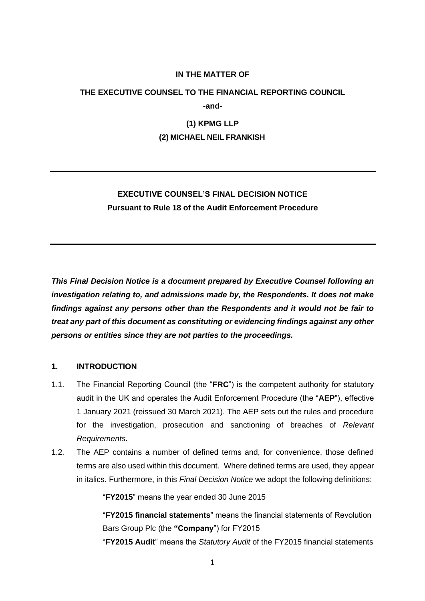### **IN THE MATTER OF**

# **THE EXECUTIVE COUNSEL TO THE FINANCIAL REPORTING COUNCIL -and-**

# **(1) KPMG LLP**

#### **(2) MICHAEL NEIL FRANKISH**

# **EXECUTIVE COUNSEL'S FINAL DECISION NOTICE Pursuant to Rule 18 of the Audit Enforcement Procedure**

*This Final Decision Notice is a document prepared by Executive Counsel following an investigation relating to, and admissions made by, the Respondents. It does not make findings against any persons other than the Respondents and it would not be fair to treat any part of this document as constituting or evidencing findings against any other persons or entities since they are not parties to the proceedings.*

# **1. INTRODUCTION**

- 1.1. The Financial Reporting Council (the "**FRC**") is the competent authority for statutory audit in the UK and operates the Audit Enforcement Procedure (the "**AEP**"), effective 1 January 2021 (reissued 30 March 2021). The AEP sets out the rules and procedure for the investigation, prosecution and sanctioning of breaches of *Relevant Requirements*.
- 1.2. The AEP contains a number of defined terms and, for convenience, those defined terms are also used within this document. Where defined terms are used, they appear in italics. Furthermore, in this *Final Decision Notice* we adopt the following definitions:

"**FY2015**" means the year ended 30 June 2015

"**FY2015 financial statements**" means the financial statements of Revolution Bars Group Plc (the **"Company**") for FY2015

"**FY2015 Audit**" means the *Statutory Audit* of the FY2015 financial statements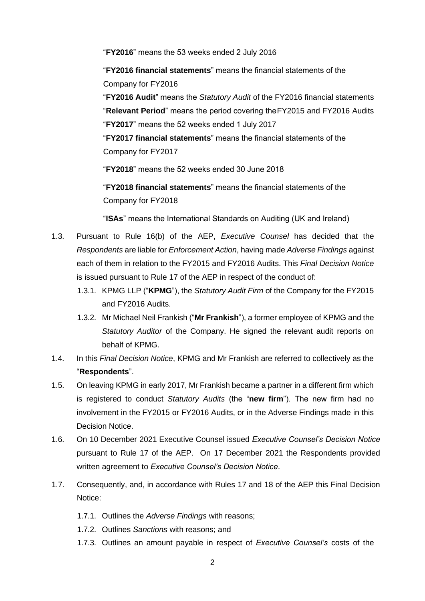"**FY2016**" means the 53 weeks ended 2 July 2016

"**FY2016 financial statements**" means the financial statements of the Company for FY2016

"**FY2016 Audit**" means the *Statutory Audit* of the FY2016 financial statements

"**Relevant Period**" means the period covering theFY2015 and FY2016 Audits

"**FY2017**" means the 52 weeks ended 1 July 2017

"**FY2017 financial statements**" means the financial statements of the Company for FY2017

"**FY2018**" means the 52 weeks ended 30 June 2018

"**FY2018 financial statements**" means the financial statements of the Company for FY2018

"**ISAs**" means the International Standards on Auditing (UK and Ireland)

- 1.3. Pursuant to Rule 16(b) of the AEP, *Executive Counsel* has decided that the *Respondents* are liable for *Enforcement Action*, having made *Adverse Findings* against each of them in relation to the FY2015 and FY2016 Audits. This *Final Decision Notice* is issued pursuant to Rule 17 of the AEP in respect of the conduct of:
	- 1.3.1. KPMG LLP ("**KPMG**"), the *Statutory Audit Firm* of the Company for the FY2015 and FY2016 Audits.
	- 1.3.2. Mr Michael Neil Frankish ("**Mr Frankish**"), a former employee of KPMG and the *Statutory Auditor* of the Company. He signed the relevant audit reports on behalf of KPMG.
- 1.4. In this *Final Decision Notice*, KPMG and Mr Frankish are referred to collectively as the "**Respondents**".
- 1.5. On leaving KPMG in early 2017, Mr Frankish became a partner in a different firm which is registered to conduct *Statutory Audits* (the "**new firm**"). The new firm had no involvement in the FY2015 or FY2016 Audits, or in the Adverse Findings made in this Decision Notice.
- 1.6. On 10 December 2021 Executive Counsel issued *Executive Counsel's Decision Notice*  pursuant to Rule 17 of the AEP. On 17 December 2021 the Respondents provided written agreement to *Executive Counsel's Decision Notice*.
- 1.7. Consequently, and, in accordance with Rules 17 and 18 of the AEP this Final Decision Notice:
	- 1.7.1. Outlines the *Adverse Findings* with reasons;
	- 1.7.2. Outlines *Sanctions* with reasons; and
	- 1.7.3. Outlines an amount payable in respect of *Executive Counsel's* costs of the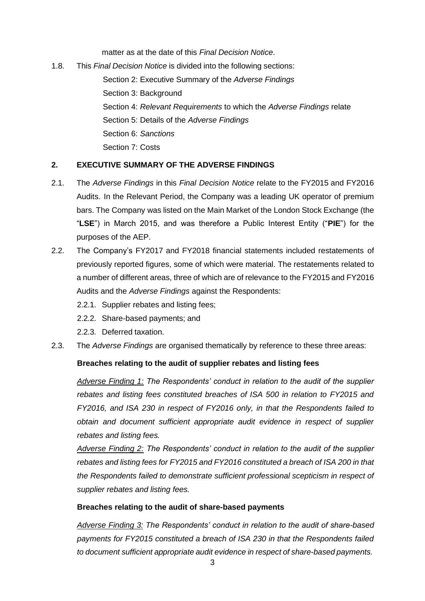matter as at the date of this *Final Decision Notice*.

1.8. This *Final Decision Notice* is divided into the following sections: Section 2: Executive Summary of the *Adverse Findings* Section 3: Background Section 4: *Relevant Requirements* to which the *Adverse Findings* relate Section 5: Details of the *Adverse Findings* Section 6: *Sanctions* Section 7: Costs

# **2. EXECUTIVE SUMMARY OF THE ADVERSE FINDINGS**

- 2.1. The *Adverse Findings* in this *Final Decision Notice* relate to the FY2015 and FY2016 Audits. In the Relevant Period, the Company was a leading UK operator of premium bars. The Company was listed on the Main Market of the London Stock Exchange (the "**LSE**") in March 2015, and was therefore a Public Interest Entity ("**PIE**") for the purposes of the AEP.
- 2.2. The Company's FY2017 and FY2018 financial statements included restatements of previously reported figures, some of which were material. The restatements related to a number of different areas, three of which are of relevance to the FY2015 and FY2016 Audits and the *Adverse Findings* against the Respondents:
	- 2.2.1. Supplier rebates and listing fees;
	- 2.2.2. Share-based payments; and
	- 2.2.3. Deferred taxation.
- 2.3. The *Adverse Findings* are organised thematically by reference to these three areas:

# **Breaches relating to the audit of supplier rebates and listing fees**

*Adverse Finding 1: The Respondents' conduct in relation to the audit of the supplier rebates and listing fees constituted breaches of ISA 500 in relation to FY2015 and FY2016, and ISA 230 in respect of FY2016 only, in that the Respondents failed to obtain and document sufficient appropriate audit evidence in respect of supplier rebates and listing fees.*

*Adverse Finding 2: The Respondents' conduct in relation to the audit of the supplier rebates and listing fees for FY2015 and FY2016 constituted a breach of ISA 200 in that the Respondents failed to demonstrate sufficient professional scepticism in respect of supplier rebates and listing fees.*

# **Breaches relating to the audit of share-based payments**

*Adverse Finding 3: The Respondents' conduct in relation to the audit of share-based payments for FY2015 constituted a breach of ISA 230 in that the Respondents failed to document sufficient appropriate audit evidence in respect of share-based payments.*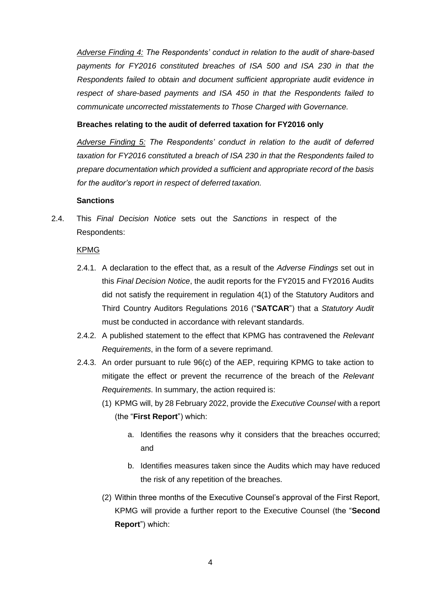*Adverse Finding 4: The Respondents' conduct in relation to the audit of share-based payments for FY2016 constituted breaches of ISA 500 and ISA 230 in that the Respondents failed to obtain and document sufficient appropriate audit evidence in respect of share-based payments and ISA 450 in that the Respondents failed to communicate uncorrected misstatements to Those Charged with Governance.*

# **Breaches relating to the audit of deferred taxation for FY2016 only**

*Adverse Finding 5: The Respondents' conduct in relation to the audit of deferred taxation for FY2016 constituted a breach of ISA 230 in that the Respondents failed to prepare documentation which provided a sufficient and appropriate record of the basis for the auditor's report in respect of deferred taxation.*

### **Sanctions**

2.4. This *Final Decision Notice* sets out the *Sanctions* in respect of the Respondents:

#### KPMG

- 2.4.1. A declaration to the effect that, as a result of the *Adverse Findings* set out in this *Final Decision Notice*, the audit reports for the FY2015 and FY2016 Audits did not satisfy the requirement in regulation 4(1) of the Statutory Auditors and Third Country Auditors Regulations 2016 ("**SATCAR**") that a *Statutory Audit* must be conducted in accordance with relevant standards.
- 2.4.2. A published statement to the effect that KPMG has contravened the *Relevant Requirements*, in the form of a severe reprimand.
- 2.4.3. An order pursuant to rule 96(c) of the AEP, requiring KPMG to take action to mitigate the effect or prevent the recurrence of the breach of the *Relevant Requirements*. In summary, the action required is:
	- (1) KPMG will, by 28 February 2022, provide the *Executive Counsel* with a report (the "**First Report**") which:
		- a. Identifies the reasons why it considers that the breaches occurred; and
		- b. Identifies measures taken since the Audits which may have reduced the risk of any repetition of the breaches.
	- (2) Within three months of the Executive Counsel's approval of the First Report, KPMG will provide a further report to the Executive Counsel (the "**Second Report**") which: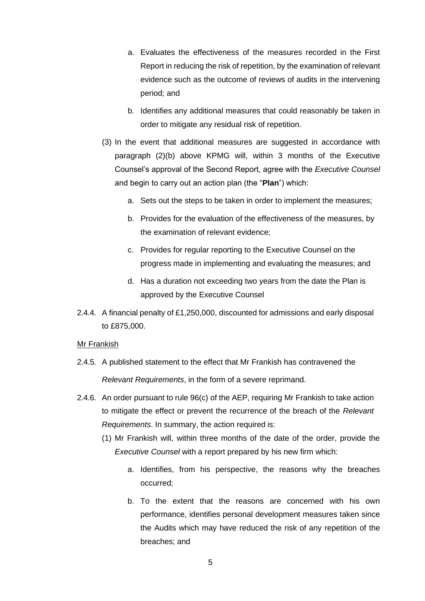- a. Evaluates the effectiveness of the measures recorded in the First Report in reducing the risk of repetition, by the examination of relevant evidence such as the outcome of reviews of audits in the intervening period; and
- b. Identifies any additional measures that could reasonably be taken in order to mitigate any residual risk of repetition.
- (3) In the event that additional measures are suggested in accordance with paragraph (2)(b) above KPMG will, within 3 months of the Executive Counsel's approval of the Second Report, agree with the *Executive Counsel*  and begin to carry out an action plan (the "**Plan**") which:
	- a. Sets out the steps to be taken in order to implement the measures;
	- b. Provides for the evaluation of the effectiveness of the measures, by the examination of relevant evidence;
	- c. Provides for regular reporting to the Executive Counsel on the progress made in implementing and evaluating the measures; and
	- d. Has a duration not exceeding two years from the date the Plan is approved by the Executive Counsel
- 2.4.4. A financial penalty of £1,250,000, discounted for admissions and early disposal to £875,000.

# Mr Frankish

- 2.4.5. A published statement to the effect that Mr Frankish has contravened the *Relevant Requirements*, in the form of a severe reprimand.
- 2.4.6. An order pursuant to rule 96(c) of the AEP, requiring Mr Frankish to take action to mitigate the effect or prevent the recurrence of the breach of the *Relevant Requirements*. In summary, the action required is:
	- (1) Mr Frankish will, within three months of the date of the order, provide the *Executive Counsel* with a report prepared by his new firm which:
		- a. Identifies, from his perspective, the reasons why the breaches occurred;
		- b. To the extent that the reasons are concerned with his own performance, identifies personal development measures taken since the Audits which may have reduced the risk of any repetition of the breaches; and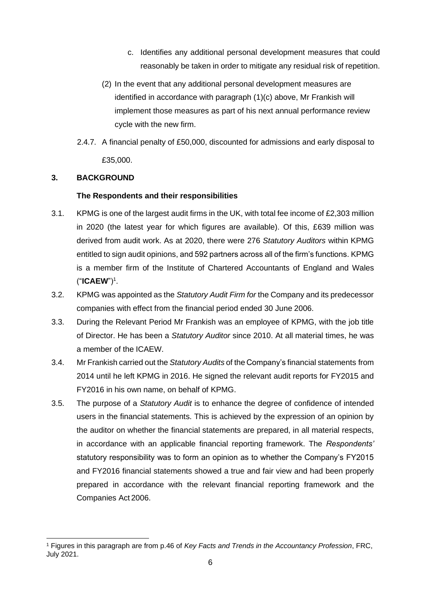- c. Identifies any additional personal development measures that could reasonably be taken in order to mitigate any residual risk of repetition.
- (2) In the event that any additional personal development measures are identified in accordance with paragraph (1)(c) above, Mr Frankish will implement those measures as part of his next annual performance review cycle with the new firm.
- 2.4.7. A financial penalty of £50,000, discounted for admissions and early disposal to £35,000.

# **3. BACKGROUND**

# **The Respondents and their responsibilities**

- 3.1. KPMG is one of the largest audit firms in the UK, with total fee income of £2,303 million in 2020 (the latest year for which figures are available). Of this, £639 million was derived from audit work. As at 2020, there were 276 *Statutory Auditors* within KPMG entitled to sign audit opinions, and 592 partners across all of the firm's functions. KPMG is a member firm of the Institute of Chartered Accountants of England and Wales ("**ICAEW**")<sup>1</sup> .
- 3.2. KPMG was appointed as the *Statutory Audit Firm for* the Company and its predecessor companies with effect from the financial period ended 30 June 2006.
- 3.3. During the Relevant Period Mr Frankish was an employee of KPMG, with the job title of Director. He has been a *Statutory Auditor* since 2010. At all material times, he was a member of the ICAEW.
- 3.4. Mr Frankish carried out the *Statutory Audits* of the Company's financial statements from 2014 until he left KPMG in 2016. He signed the relevant audit reports for FY2015 and FY2016 in his own name, on behalf of KPMG.
- 3.5. The purpose of a *Statutory Audit* is to enhance the degree of confidence of intended users in the financial statements. This is achieved by the expression of an opinion by the auditor on whether the financial statements are prepared, in all material respects, in accordance with an applicable financial reporting framework. The *Respondents'*  statutory responsibility was to form an opinion as to whether the Company's FY2015 and FY2016 financial statements showed a true and fair view and had been properly prepared in accordance with the relevant financial reporting framework and the Companies Act 2006.

<sup>1</sup> Figures in this paragraph are from p.46 of *Key Facts and Trends in the Accountancy Profession*, FRC, July 2021.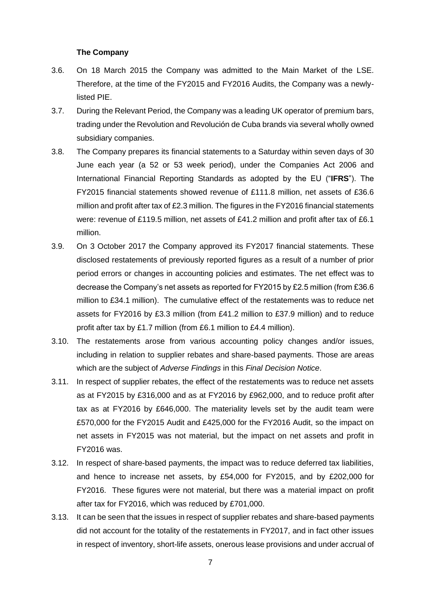### **The Company**

- 3.6. On 18 March 2015 the Company was admitted to the Main Market of the LSE. Therefore, at the time of the FY2015 and FY2016 Audits, the Company was a newlylisted PIE.
- 3.7. During the Relevant Period, the Company was a leading UK operator of premium bars, trading under the Revolution and Revolución de Cuba brands via several wholly owned subsidiary companies.
- 3.8. The Company prepares its financial statements to a Saturday within seven days of 30 June each year (a 52 or 53 week period), under the Companies Act 2006 and International Financial Reporting Standards as adopted by the EU ("**IFRS**"). The FY2015 financial statements showed revenue of £111.8 million, net assets of £36.6 million and profit after tax of £2.3 million. The figures in the FY2016 financial statements were: revenue of £119.5 million, net assets of £41.2 million and profit after tax of £6.1 million.
- 3.9. On 3 October 2017 the Company approved its FY2017 financial statements. These disclosed restatements of previously reported figures as a result of a number of prior period errors or changes in accounting policies and estimates. The net effect was to decrease the Company's net assets as reported for FY2015 by £2.5 million (from £36.6 million to £34.1 million). The cumulative effect of the restatements was to reduce net assets for FY2016 by £3.3 million (from £41.2 million to £37.9 million) and to reduce profit after tax by £1.7 million (from £6.1 million to £4.4 million).
- 3.10. The restatements arose from various accounting policy changes and/or issues, including in relation to supplier rebates and share-based payments. Those are areas which are the subject of *Adverse Findings* in this *Final Decision Notice*.
- 3.11. In respect of supplier rebates, the effect of the restatements was to reduce net assets as at FY2015 by £316,000 and as at FY2016 by £962,000, and to reduce profit after tax as at FY2016 by £646,000. The materiality levels set by the audit team were £570,000 for the FY2015 Audit and £425,000 for the FY2016 Audit, so the impact on net assets in FY2015 was not material, but the impact on net assets and profit in FY2016 was.
- 3.12. In respect of share-based payments, the impact was to reduce deferred tax liabilities, and hence to increase net assets, by £54,000 for FY2015, and by £202,000 for FY2016. These figures were not material, but there was a material impact on profit after tax for FY2016, which was reduced by £701,000.
- 3.13. It can be seen that the issues in respect of supplier rebates and share-based payments did not account for the totality of the restatements in FY2017, and in fact other issues in respect of inventory, short-life assets, onerous lease provisions and under accrual of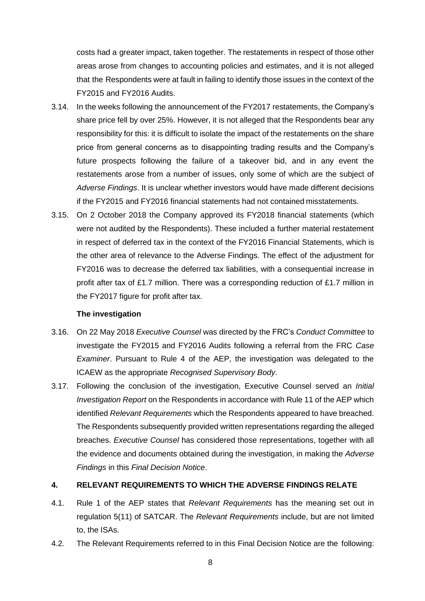costs had a greater impact, taken together. The restatements in respect of those other areas arose from changes to accounting policies and estimates, and it is not alleged that the Respondents were at fault in failing to identify those issues in the context of the FY2015 and FY2016 Audits.

- 3.14. In the weeks following the announcement of the FY2017 restatements, the Company's share price fell by over 25%. However, it is not alleged that the Respondents bear any responsibility for this: it is difficult to isolate the impact of the restatements on the share price from general concerns as to disappointing trading results and the Company's future prospects following the failure of a takeover bid, and in any event the restatements arose from a number of issues, only some of which are the subject of *Adverse Findings*. It is unclear whether investors would have made different decisions if the FY2015 and FY2016 financial statements had not contained misstatements.
- 3.15. On 2 October 2018 the Company approved its FY2018 financial statements (which were not audited by the Respondents). These included a further material restatement in respect of deferred tax in the context of the FY2016 Financial Statements, which is the other area of relevance to the Adverse Findings. The effect of the adjustment for FY2016 was to decrease the deferred tax liabilities, with a consequential increase in profit after tax of £1.7 million. There was a corresponding reduction of £1.7 million in the FY2017 figure for profit after tax.

#### **The investigation**

- 3.16. On 22 May 2018 *Executive Counsel* was directed by the FRC's *Conduct Committee* to investigate the FY2015 and FY2016 Audits following a referral from the FRC *Case Examiner*. Pursuant to Rule 4 of the AEP, the investigation was delegated to the ICAEW as the appropriate *Recognised Supervisory Body*.
- 3.17. Following the conclusion of the investigation, Executive Counsel served an *Initial Investigation Report* on the Respondents in accordance with Rule 11 of the AEP which identified *Relevant Requirements* which the Respondents appeared to have breached. The Respondents subsequently provided written representations regarding the alleged breaches. *Executive Counsel* has considered those representations, together with all the evidence and documents obtained during the investigation, in making the *Adverse Findings* in this *Final Decision Notice*.

# **4. RELEVANT REQUIREMENTS TO WHICH THE ADVERSE FINDINGS RELATE**

- 4.1. Rule 1 of the AEP states that *Relevant Requirements* has the meaning set out in regulation 5(11) of SATCAR. The *Relevant Requirements* include, but are not limited to, the ISAs.
- 4.2. The Relevant Requirements referred to in this Final Decision Notice are the following: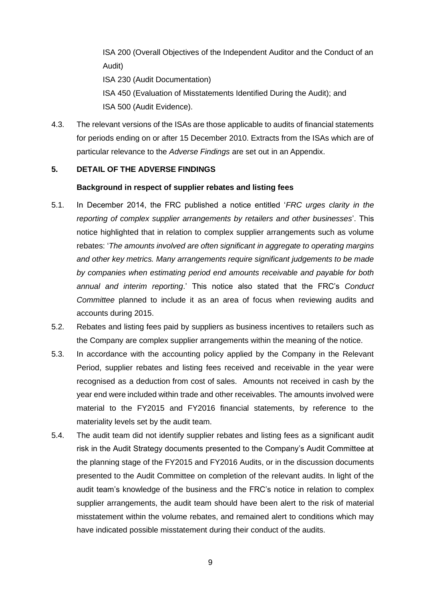ISA 200 (Overall Objectives of the Independent Auditor and the Conduct of an Audit)

ISA 230 (Audit Documentation)

ISA 450 (Evaluation of Misstatements Identified During the Audit); and ISA 500 (Audit Evidence).

4.3. The relevant versions of the ISAs are those applicable to audits of financial statements for periods ending on or after 15 December 2010. Extracts from the ISAs which are of particular relevance to the *Adverse Findings* are set out in an Appendix.

# **5. DETAIL OF THE ADVERSE FINDINGS**

# **Background in respect of supplier rebates and listing fees**

- 5.1. In December 2014, the FRC published a notice entitled '*FRC urges clarity in the reporting of complex supplier arrangements by retailers and other businesses*'. This notice highlighted that in relation to complex supplier arrangements such as volume rebates: '*The amounts involved are often significant in aggregate to operating margins and other key metrics. Many arrangements require significant judgements to be made by companies when estimating period end amounts receivable and payable for both annual and interim reporting*.' This notice also stated that the FRC's *Conduct Committee* planned to include it as an area of focus when reviewing audits and accounts during 2015.
- 5.2. Rebates and listing fees paid by suppliers as business incentives to retailers such as the Company are complex supplier arrangements within the meaning of the notice.
- 5.3. In accordance with the accounting policy applied by the Company in the Relevant Period, supplier rebates and listing fees received and receivable in the year were recognised as a deduction from cost of sales. Amounts not received in cash by the year end were included within trade and other receivables. The amounts involved were material to the FY2015 and FY2016 financial statements, by reference to the materiality levels set by the audit team.
- 5.4. The audit team did not identify supplier rebates and listing fees as a significant audit risk in the Audit Strategy documents presented to the Company's Audit Committee at the planning stage of the FY2015 and FY2016 Audits, or in the discussion documents presented to the Audit Committee on completion of the relevant audits. In light of the audit team's knowledge of the business and the FRC's notice in relation to complex supplier arrangements, the audit team should have been alert to the risk of material misstatement within the volume rebates, and remained alert to conditions which may have indicated possible misstatement during their conduct of the audits.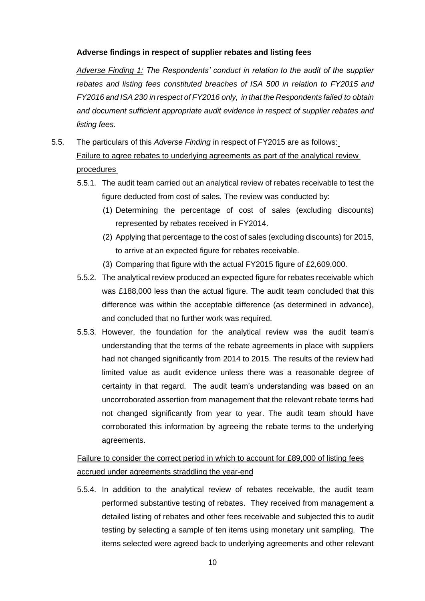# **Adverse findings in respect of supplier rebates and listing fees**

*Adverse Finding 1: The Respondents' conduct in relation to the audit of the supplier rebates and listing fees constituted breaches of ISA 500 in relation to FY2015 and FY2016 and ISA 230 in respect of FY2016 only, in that the Respondents failed to obtain and document sufficient appropriate audit evidence in respect of supplier rebates and listing fees.*

- 5.5. The particulars of this *Adverse Finding* in respect of FY2015 are as follows: Failure to agree rebates to underlying agreements as part of the analytical review procedures
	- 5.5.1. The audit team carried out an analytical review of rebates receivable to test the figure deducted from cost of sales. The review was conducted by:
		- (1) Determining the percentage of cost of sales (excluding discounts) represented by rebates received in FY2014.
		- (2) Applying that percentage to the cost of sales (excluding discounts) for 2015, to arrive at an expected figure for rebates receivable.
		- (3) Comparing that figure with the actual FY2015 figure of £2,609,000.
	- 5.5.2. The analytical review produced an expected figure for rebates receivable which was £188,000 less than the actual figure. The audit team concluded that this difference was within the acceptable difference (as determined in advance), and concluded that no further work was required.
	- 5.5.3. However, the foundation for the analytical review was the audit team's understanding that the terms of the rebate agreements in place with suppliers had not changed significantly from 2014 to 2015. The results of the review had limited value as audit evidence unless there was a reasonable degree of certainty in that regard. The audit team's understanding was based on an uncorroborated assertion from management that the relevant rebate terms had not changed significantly from year to year. The audit team should have corroborated this information by agreeing the rebate terms to the underlying agreements.

# Failure to consider the correct period in which to account for £89,000 of listing fees accrued under agreements straddling the year-end

5.5.4. In addition to the analytical review of rebates receivable, the audit team performed substantive testing of rebates. They received from management a detailed listing of rebates and other fees receivable and subjected this to audit testing by selecting a sample of ten items using monetary unit sampling. The items selected were agreed back to underlying agreements and other relevant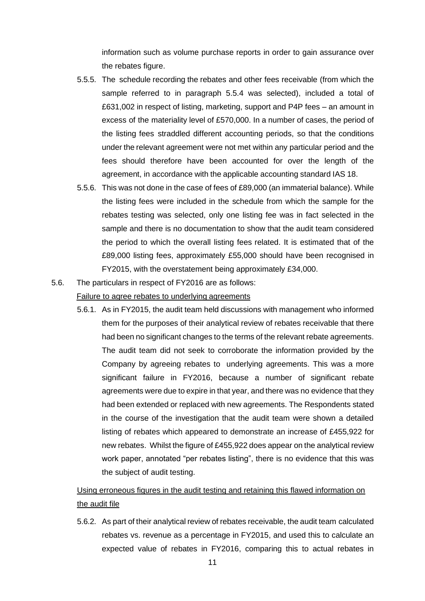information such as volume purchase reports in order to gain assurance over the rebates figure.

- 5.5.5. The schedule recording the rebates and other fees receivable (from which the sample referred to in paragraph 5.5.4 was selected), included a total of £631,002 in respect of listing, marketing, support and P4P fees – an amount in excess of the materiality level of £570,000. In a number of cases, the period of the listing fees straddled different accounting periods, so that the conditions under the relevant agreement were not met within any particular period and the fees should therefore have been accounted for over the length of the agreement, in accordance with the applicable accounting standard IAS 18.
- 5.5.6. This was not done in the case of fees of £89,000 (an immaterial balance). While the listing fees were included in the schedule from which the sample for the rebates testing was selected, only one listing fee was in fact selected in the sample and there is no documentation to show that the audit team considered the period to which the overall listing fees related. It is estimated that of the £89,000 listing fees, approximately £55,000 should have been recognised in FY2015, with the overstatement being approximately £34,000.
- 5.6. The particulars in respect of FY2016 are as follows:

# Failure to agree rebates to underlying agreements

5.6.1. As in FY2015, the audit team held discussions with management who informed them for the purposes of their analytical review of rebates receivable that there had been no significant changes to the terms of the relevant rebate agreements. The audit team did not seek to corroborate the information provided by the Company by agreeing rebates to underlying agreements. This was a more significant failure in FY2016, because a number of significant rebate agreements were due to expire in that year, and there was no evidence that they had been extended or replaced with new agreements. The Respondents stated in the course of the investigation that the audit team were shown a detailed listing of rebates which appeared to demonstrate an increase of £455,922 for new rebates. Whilst the figure of £455,922 does appear on the analytical review work paper, annotated "per rebates listing", there is no evidence that this was the subject of audit testing.

Using erroneous figures in the audit testing and retaining this flawed information on the audit file

5.6.2. As part of their analytical review of rebates receivable, the audit team calculated rebates vs. revenue as a percentage in FY2015, and used this to calculate an expected value of rebates in FY2016, comparing this to actual rebates in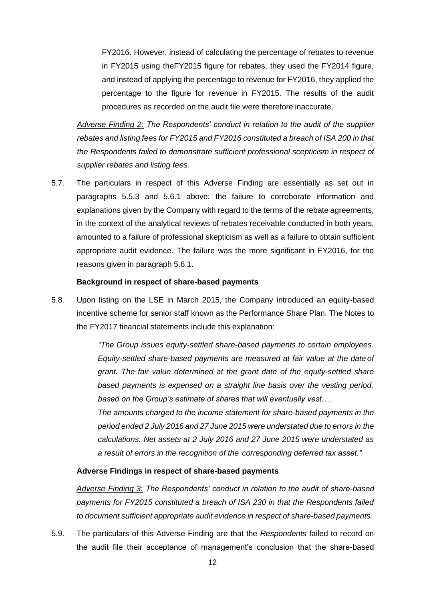FY2016. However, instead of calculating the percentage of rebates to revenue in FY2015 using theFY2015 figure for rebates, they used the FY2014 figure, and instead of applying the percentage to revenue for FY2016, they applied the percentage to the figure for revenue in FY2015. The results of the audit procedures as recorded on the audit file were therefore inaccurate.

*Adverse Finding 2: The Respondents' conduct in relation to the audit of the supplier rebates and listing fees for FY2015 and FY2016 constituted a breach of ISA 200 in that the Respondents failed to demonstrate sufficient professional scepticism in respect of supplier rebates and listing fees.*

5.7. The particulars in respect of this Adverse Finding are essentially as set out in paragraphs 5.5.3 and 5.6.1 above: the failure to corroborate information and explanations given by the Company with regard to the terms of the rebate agreements, in the context of the analytical reviews of rebates receivable conducted in both years, amounted to a failure of professional skepticism as well as a failure to obtain sufficient appropriate audit evidence. The failure was the more significant in FY2016, for the reasons given in paragraph 5.6.1.

### **Background in respect of share-based payments**

5.8. Upon listing on the LSE in March 2015, the Company introduced an equity-based incentive scheme for senior staff known as the Performance Share Plan. The Notes to the FY2017 financial statements include this explanation:

> *"The Group issues equity-settled share-based payments to certain employees. Equity-settled share-based payments are measured at fair value at the date of grant. The fair value determined at the grant date of the equity-settled share based payments is expensed on a straight line basis over the vesting period, based on the Group's estimate of shares that will eventually vest.…*

> *The amounts charged to the income statement for share-based payments in the period ended 2 July 2016 and 27 June 2015 were understated due to errors in the calculations. Net assets at 2 July 2016 and 27 June 2015 were understated as a result of errors in the recognition of the corresponding deferred tax asset."*

#### **Adverse Findings in respect of share-based payments**

*Adverse Finding 3: The Respondents' conduct in relation to the audit of share-based payments for FY2015 constituted a breach of ISA 230 in that the Respondents failed to document sufficient appropriate audit evidence in respect of share-based payments.*

5.9. The particulars of this Adverse Finding are that the *Respondents* failed to record on the audit file their acceptance of management's conclusion that the share-based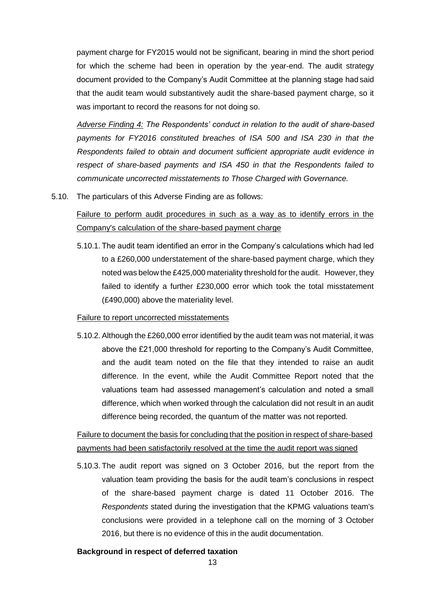payment charge for FY2015 would not be significant, bearing in mind the short period for which the scheme had been in operation by the year-end. The audit strategy document provided to the Company's Audit Committee at the planning stage had said that the audit team would substantively audit the share-based payment charge, so it was important to record the reasons for not doing so.

*Adverse Finding 4: The Respondents' conduct in relation to the audit of share-based payments for FY2016 constituted breaches of ISA 500 and ISA 230 in that the Respondents failed to obtain and document sufficient appropriate audit evidence in respect of share-based payments and ISA 450 in that the Respondents failed to communicate uncorrected misstatements to Those Charged with Governance.*

5.10. The particulars of this Adverse Finding are as follows:

Failure to perform audit procedures in such as a way as to identify errors in the Company's calculation of the share-based payment charge

5.10.1. The audit team identified an error in the Company's calculations which had led to a £260,000 understatement of the share-based payment charge, which they noted was below the £425,000 materiality threshold for the audit. However, they failed to identify a further £230,000 error which took the total misstatement (£490,000) above the materiality level.

#### Failure to report uncorrected misstatements

5.10.2. Although the £260,000 error identified by the audit team was not material, it was above the £21,000 threshold for reporting to the Company's Audit Committee, and the audit team noted on the file that they intended to raise an audit difference. In the event, while the Audit Committee Report noted that the valuations team had assessed management's calculation and noted a small difference, which when worked through the calculation did not result in an audit difference being recorded, the quantum of the matter was not reported.

# Failure to document the basis for concluding that the position in respect of share-based payments had been satisfactorily resolved at the time the audit report was signed

5.10.3. The audit report was signed on 3 October 2016, but the report from the valuation team providing the basis for the audit team's conclusions in respect of the share-based payment charge is dated 11 October 2016. The *Respondents* stated during the investigation that the KPMG valuations team's conclusions were provided in a telephone call on the morning of 3 October 2016, but there is no evidence of this in the audit documentation.

# **Background in respect of deferred taxation**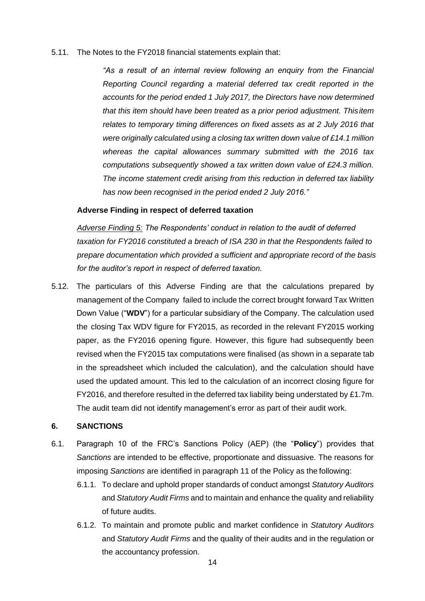5.11. The Notes to the FY2018 financial statements explain that:

*"As a result of an internal review following an enquiry from the Financial Reporting Council regarding a material deferred tax credit reported in the accounts for the period ended 1 July 2017, the Directors have now determined that this item should have been treated as a prior period adjustment. Thisitem relates to temporary timing differences on fixed assets as at 2 July 2016 that were originally calculated using a closing tax written down value of £14.1 million whereas the capital allowances summary submitted with the 2016 tax computations subsequently showed a tax written down value of £24.3 million. The income statement credit arising from this reduction in deferred tax liability has now been recognised in the period ended 2 July 2016."*

#### **Adverse Finding in respect of deferred taxation**

*Adverse Finding 5: The Respondents' conduct in relation to the audit of deferred taxation for FY2016 constituted a breach of ISA 230 in that the Respondents failed to prepare documentation which provided a sufficient and appropriate record of the basis for the auditor's report in respect of deferred taxation.*

5.12. The particulars of this Adverse Finding are that the calculations prepared by management of the Company failed to include the correct brought forward Tax Written Down Value ("**WDV**") for a particular subsidiary of the Company. The calculation used the closing Tax WDV figure for FY2015, as recorded in the relevant FY2015 working paper, as the FY2016 opening figure. However, this figure had subsequently been revised when the FY2015 tax computations were finalised (as shown in a separate tab in the spreadsheet which included the calculation), and the calculation should have used the updated amount. This led to the calculation of an incorrect closing figure for FY2016, and therefore resulted in the deferred tax liability being understated by £1.7m. The audit team did not identify management's error as part of their audit work.

#### **6. SANCTIONS**

- 6.1. Paragraph 10 of the FRC's Sanctions Policy (AEP) (the "**Policy**") provides that *Sanctions* are intended to be effective, proportionate and dissuasive. The reasons for imposing *Sanctions* are identified in paragraph 11 of the Policy as the following:
	- 6.1.1. To declare and uphold proper standards of conduct amongst *Statutory Auditors*  and *Statutory Audit Firms* and to maintain and enhance the quality and reliability of future audits.
	- 6.1.2. To maintain and promote public and market confidence in *Statutory Auditors*  and *Statutory Audit Firms* and the quality of their audits and in the regulation or the accountancy profession.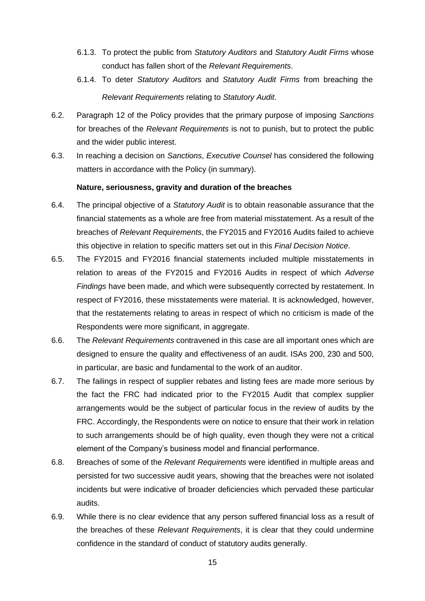- 6.1.3. To protect the public from *Statutory Auditors* and *Statutory Audit Firms* whose conduct has fallen short of the *Relevant Requirements*.
- 6.1.4. To deter *Statutory Auditors* and *Statutory Audit Firms* from breaching the *Relevant Requirements* relating to *Statutory Audit*.
- 6.2. Paragraph 12 of the Policy provides that the primary purpose of imposing *Sanctions*  for breaches of the *Relevant Requirements* is not to punish, but to protect the public and the wider public interest.
- 6.3. In reaching a decision on *Sanctions*, *Executive Counsel* has considered the following matters in accordance with the Policy (in summary).

### **Nature, seriousness, gravity and duration of the breaches**

- 6.4. The principal objective of a *Statutory Audit* is to obtain reasonable assurance that the financial statements as a whole are free from material misstatement. As a result of the breaches of *Relevant Requirements*, the FY2015 and FY2016 Audits failed to achieve this objective in relation to specific matters set out in this *Final Decision Notice*.
- 6.5. The FY2015 and FY2016 financial statements included multiple misstatements in relation to areas of the FY2015 and FY2016 Audits in respect of which *Adverse Findings* have been made, and which were subsequently corrected by restatement. In respect of FY2016, these misstatements were material. It is acknowledged, however, that the restatements relating to areas in respect of which no criticism is made of the Respondents were more significant, in aggregate.
- 6.6. The *Relevant Requirements* contravened in this case are all important ones which are designed to ensure the quality and effectiveness of an audit. ISAs 200, 230 and 500, in particular, are basic and fundamental to the work of an auditor.
- 6.7. The failings in respect of supplier rebates and listing fees are made more serious by the fact the FRC had indicated prior to the FY2015 Audit that complex supplier arrangements would be the subject of particular focus in the review of audits by the FRC. Accordingly, the Respondents were on notice to ensure that their work in relation to such arrangements should be of high quality, even though they were not a critical element of the Company's business model and financial performance.
- 6.8. Breaches of some of the *Relevant Requirements* were identified in multiple areas and persisted for two successive audit years, showing that the breaches were not isolated incidents but were indicative of broader deficiencies which pervaded these particular audits.
- 6.9. While there is no clear evidence that any person suffered financial loss as a result of the breaches of these *Relevant Requirements*, it is clear that they could undermine confidence in the standard of conduct of statutory audits generally.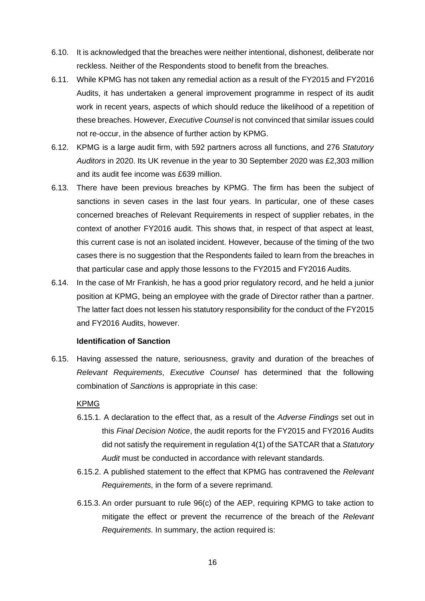- 6.10. It is acknowledged that the breaches were neither intentional, dishonest, deliberate nor reckless. Neither of the Respondents stood to benefit from the breaches.
- 6.11. While KPMG has not taken any remedial action as a result of the FY2015 and FY2016 Audits, it has undertaken a general improvement programme in respect of its audit work in recent years, aspects of which should reduce the likelihood of a repetition of these breaches. However, *Executive Counsel* is not convinced that similar issues could not re-occur, in the absence of further action by KPMG.
- 6.12. KPMG is a large audit firm, with 592 partners across all functions, and 276 *Statutory Auditors* in 2020. Its UK revenue in the year to 30 September 2020 was £2,303 million and its audit fee income was £639 million.
- 6.13. There have been previous breaches by KPMG. The firm has been the subject of sanctions in seven cases in the last four years. In particular, one of these cases concerned breaches of Relevant Requirements in respect of supplier rebates, in the context of another FY2016 audit. This shows that, in respect of that aspect at least, this current case is not an isolated incident. However, because of the timing of the two cases there is no suggestion that the Respondents failed to learn from the breaches in that particular case and apply those lessons to the FY2015 and FY2016 Audits.
- 6.14. In the case of Mr Frankish, he has a good prior regulatory record, and he held a junior position at KPMG, being an employee with the grade of Director rather than a partner. The latter fact does not lessen his statutory responsibility for the conduct of the FY2015 and FY2016 Audits, however.

# **Identification of Sanction**

6.15. Having assessed the nature, seriousness, gravity and duration of the breaches of *Relevant Requirements*, *Executive Counsel* has determined that the following combination of *Sanctions* is appropriate in this case:

# KPMG

- 6.15.1. A declaration to the effect that, as a result of the *Adverse Findings* set out in this *Final Decision Notice*, the audit reports for the FY2015 and FY2016 Audits did not satisfy the requirement in regulation 4(1) of the SATCAR that a *Statutory Audit* must be conducted in accordance with relevant standards.
- 6.15.2. A published statement to the effect that KPMG has contravened the *Relevant Requirements*, in the form of a severe reprimand.
- 6.15.3. An order pursuant to rule 96(c) of the AEP, requiring KPMG to take action to mitigate the effect or prevent the recurrence of the breach of the *Relevant Requirements*. In summary, the action required is: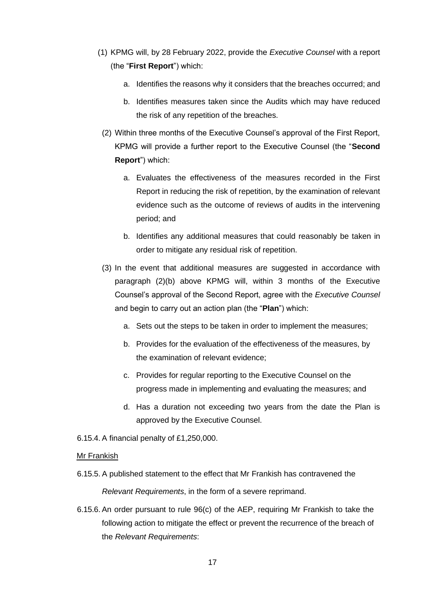- (1) KPMG will, by 28 February 2022, provide the *Executive Counsel* with a report (the "**First Report**") which:
	- a. Identifies the reasons why it considers that the breaches occurred; and
	- b. Identifies measures taken since the Audits which may have reduced the risk of any repetition of the breaches.
- (2) Within three months of the Executive Counsel's approval of the First Report, KPMG will provide a further report to the Executive Counsel (the "**Second Report**") which:
	- a. Evaluates the effectiveness of the measures recorded in the First Report in reducing the risk of repetition, by the examination of relevant evidence such as the outcome of reviews of audits in the intervening period; and
	- b. Identifies any additional measures that could reasonably be taken in order to mitigate any residual risk of repetition.
- (3) In the event that additional measures are suggested in accordance with paragraph (2)(b) above KPMG will, within 3 months of the Executive Counsel's approval of the Second Report, agree with the *Executive Counsel*  and begin to carry out an action plan (the "**Plan**") which:
	- a. Sets out the steps to be taken in order to implement the measures;
	- b. Provides for the evaluation of the effectiveness of the measures, by the examination of relevant evidence;
	- c. Provides for regular reporting to the Executive Counsel on the progress made in implementing and evaluating the measures; and
	- d. Has a duration not exceeding two years from the date the Plan is approved by the Executive Counsel.
- 6.15.4. A financial penalty of £1,250,000.

#### Mr Frankish

6.15.5. A published statement to the effect that Mr Frankish has contravened the

*Relevant Requirements*, in the form of a severe reprimand.

6.15.6. An order pursuant to rule 96(c) of the AEP, requiring Mr Frankish to take the following action to mitigate the effect or prevent the recurrence of the breach of the *Relevant Requirements*: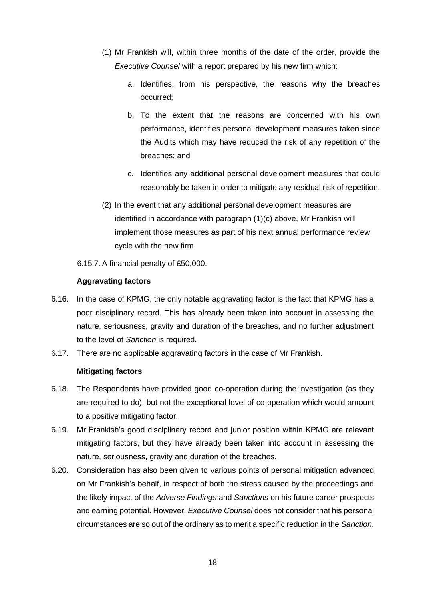- (1) Mr Frankish will, within three months of the date of the order, provide the *Executive Counsel* with a report prepared by his new firm which:
	- a. Identifies, from his perspective, the reasons why the breaches occurred;
	- b. To the extent that the reasons are concerned with his own performance, identifies personal development measures taken since the Audits which may have reduced the risk of any repetition of the breaches; and
	- c. Identifies any additional personal development measures that could reasonably be taken in order to mitigate any residual risk of repetition.
- (2) In the event that any additional personal development measures are identified in accordance with paragraph (1)(c) above, Mr Frankish will implement those measures as part of his next annual performance review cycle with the new firm.
- 6.15.7. A financial penalty of £50,000.

# **Aggravating factors**

- 6.16. In the case of KPMG, the only notable aggravating factor is the fact that KPMG has a poor disciplinary record. This has already been taken into account in assessing the nature, seriousness, gravity and duration of the breaches, and no further adjustment to the level of *Sanction* is required.
- 6.17. There are no applicable aggravating factors in the case of Mr Frankish.

# **Mitigating factors**

- 6.18. The Respondents have provided good co-operation during the investigation (as they are required to do), but not the exceptional level of co-operation which would amount to a positive mitigating factor.
- 6.19. Mr Frankish's good disciplinary record and junior position within KPMG are relevant mitigating factors, but they have already been taken into account in assessing the nature, seriousness, gravity and duration of the breaches.
- 6.20. Consideration has also been given to various points of personal mitigation advanced on Mr Frankish's behalf, in respect of both the stress caused by the proceedings and the likely impact of the *Adverse Findings* and *Sanctions* on his future career prospects and earning potential. However, *Executive Counsel* does not consider that his personal circumstances are so out of the ordinary as to merit a specific reduction in the *Sanction*.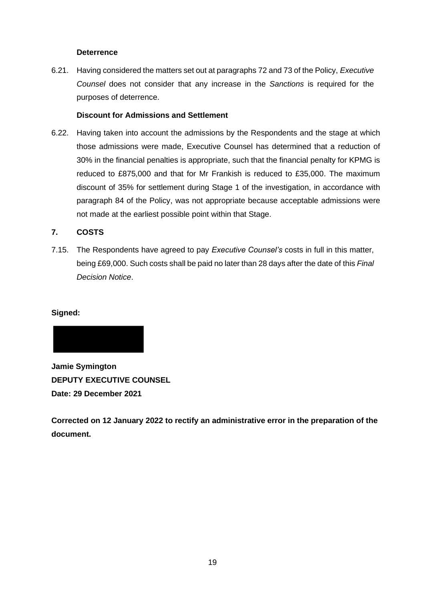# **Deterrence**

6.21. Having considered the matters set out at paragraphs 72 and 73 of the Policy, *Executive Counsel* does not consider that any increase in the *Sanctions* is required for the purposes of deterrence.

# **Discount for Admissions and Settlement**

6.22. Having taken into account the admissions by the Respondents and the stage at which those admissions were made, Executive Counsel has determined that a reduction of 30% in the financial penalties is appropriate, such that the financial penalty for KPMG is reduced to £875,000 and that for Mr Frankish is reduced to £35,000. The maximum discount of 35% for settlement during Stage 1 of the investigation, in accordance with paragraph 84 of the Policy, was not appropriate because acceptable admissions were not made at the earliest possible point within that Stage.

# **7. COSTS**

7.15. The Respondents have agreed to pay *Executive Counsel's* costs in full in this matter, being £69,000. Such costs shall be paid no later than 28 days after the date of this *Final Decision Notice*.

# **Signed:**



**Jamie Symington DEPUTY EXECUTIVE COUNSEL Date: 29 December 2021**

**Corrected on 12 January 2022 to rectify an administrative error in the preparation of the document.**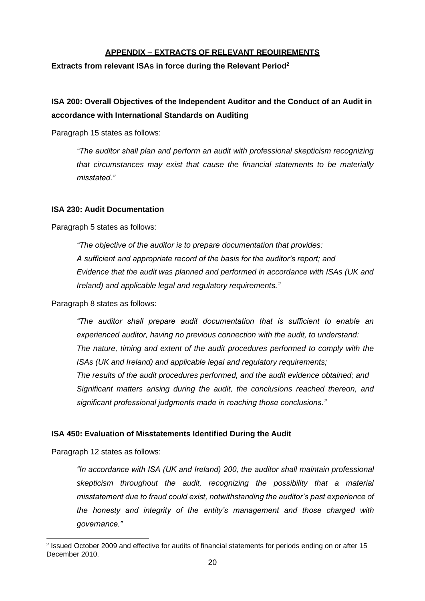# **APPENDIX – EXTRACTS OF RELEVANT REQUIREMENTS**

**Extracts from relevant ISAs in force during the Relevant Period<sup>2</sup>**

# **ISA 200: Overall Objectives of the Independent Auditor and the Conduct of an Audit in accordance with International Standards on Auditing**

Paragraph 15 states as follows:

*"The auditor shall plan and perform an audit with professional skepticism recognizing that circumstances may exist that cause the financial statements to be materially misstated."*

### **ISA 230: Audit Documentation**

Paragraph 5 states as follows:

*"The objective of the auditor is to prepare documentation that provides: A sufficient and appropriate record of the basis for the auditor's report; and Evidence that the audit was planned and performed in accordance with ISAs (UK and Ireland) and applicable legal and regulatory requirements."*

Paragraph 8 states as follows:

*"The auditor shall prepare audit documentation that is sufficient to enable an experienced auditor, having no previous connection with the audit, to understand: The nature, timing and extent of the audit procedures performed to comply with the ISAs (UK and Ireland) and applicable legal and regulatory requirements; The results of the audit procedures performed, and the audit evidence obtained; and Significant matters arising during the audit, the conclusions reached thereon, and significant professional judgments made in reaching those conclusions."*

# **ISA 450: Evaluation of Misstatements Identified During the Audit**

Paragraph 12 states as follows:

*"In accordance with ISA (UK and Ireland) 200, the auditor shall maintain professional skepticism throughout the audit, recognizing the possibility that a material misstatement due to fraud could exist, notwithstanding the auditor's past experience of the honesty and integrity of the entity's management and those charged with governance."*

<sup>2</sup> Issued October 2009 and effective for audits of financial statements for periods ending on or after 15 December 2010.